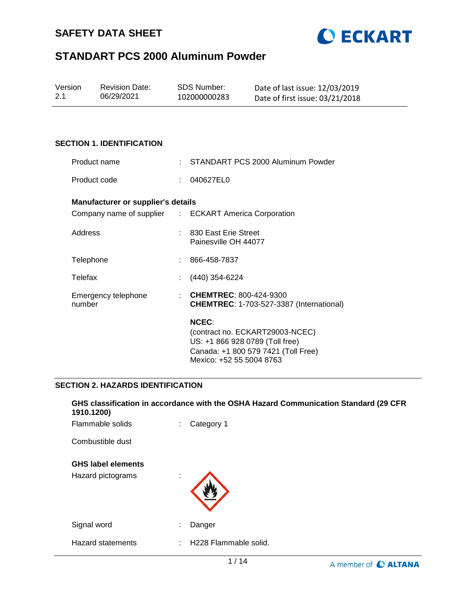



| Version | <b>Revision Date:</b> | SDS Number:  | Date of last issue: 12/03/2019  |
|---------|-----------------------|--------------|---------------------------------|
| 2.1     | 06/29/2021            | 102000000283 | Date of first issue: 03/21/2018 |

### **SECTION 1. IDENTIFICATION**

| Product name                              |    | : STANDART PCS 2000 Aluminum Powder                                                                                       |
|-------------------------------------------|----|---------------------------------------------------------------------------------------------------------------------------|
| Product code                              | ÷. | 040627EL0                                                                                                                 |
| <b>Manufacturer or supplier's details</b> |    |                                                                                                                           |
|                                           |    | Company name of supplier : ECKART America Corporation                                                                     |
| Address                                   |    | : 830 East Erie Street<br>Painesville OH 44077                                                                            |
| Telephone                                 |    | 866-458-7837                                                                                                              |
| Telefax                                   |    | (440) 354-6224                                                                                                            |
| Emergency telephone<br>number             |    | <b>CHEMTREC: 800-424-9300</b><br><b>CHEMTREC: 1-703-527-3387 (International)</b>                                          |
|                                           |    | <b>NCEC:</b><br>(contract no. ECKART29003-NCEC)<br>US: +1 866 928 0789 (Toll free)<br>Canada: +1 800 579 7421 (Toll Free) |

## **SECTION 2. HAZARDS IDENTIFICATION**

| 1910.1200)                                     | GHS classification in accordance with the OSHA Hazard Communication Standard (29 CFR |                             |
|------------------------------------------------|--------------------------------------------------------------------------------------|-----------------------------|
| Flammable solids                               | Category 1<br>÷                                                                      |                             |
| Combustible dust                               |                                                                                      |                             |
| <b>GHS label elements</b><br>Hazard pictograms | ٠<br>$\mathbf{r}$                                                                    |                             |
| Signal word                                    | Danger<br>٠                                                                          |                             |
| <b>Hazard statements</b>                       | H228 Flammable solid.<br>÷                                                           |                             |
|                                                | 1/14                                                                                 | A member of <b>C ALTANA</b> |

Mexico: +52 55 5004 8763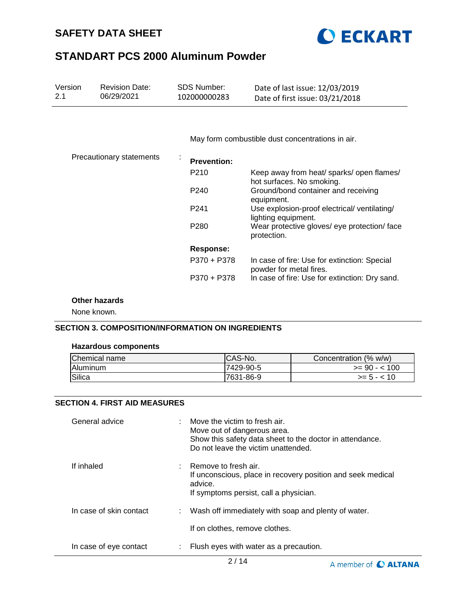



| Version<br>2.1 | <b>Revision Date:</b><br>06/29/2021 | <b>SDS Number:</b><br>102000000283 | Date of last issue: 12/03/2019<br>Date of first issue: 03/21/2018       |
|----------------|-------------------------------------|------------------------------------|-------------------------------------------------------------------------|
|                |                                     |                                    |                                                                         |
|                |                                     |                                    | May form combustible dust concentrations in air.                        |
|                | <b>Precautionary statements</b>     | <b>Prevention:</b>                 |                                                                         |
|                |                                     | P210                               | Keep away from heat/ sparks/ open flames/<br>hot surfaces. No smoking.  |
|                |                                     | P <sub>240</sub>                   | Ground/bond container and receiving<br>equipment.                       |
|                |                                     | P241                               | Use explosion-proof electrical/ ventilating/<br>lighting equipment.     |
|                |                                     | P <sub>280</sub>                   | Wear protective gloves/ eye protection/ face<br>protection.             |
|                |                                     | <b>Response:</b>                   |                                                                         |
|                |                                     | P370 + P378                        | In case of fire: Use for extinction: Special<br>powder for metal fires. |
|                |                                     | P370 + P378                        | In case of fire: Use for extinction: Dry sand.                          |

## **Other hazards**

None known.

### **SECTION 3. COMPOSITION/INFORMATION ON INGREDIENTS**

#### **Hazardous components**

| Chemical name | CAS-No.   | Concentration (% w/w) |
|---------------|-----------|-----------------------|
| Aluminum      | 7429-90-5 | $>= 90 - 100$         |
| Silica        | 7631-86-9 | $>= 5 - < 10$         |

### **SECTION 4. FIRST AID MEASURES**

| General advice          |   | : Move the victim to fresh air.<br>Move out of dangerous area.<br>Show this safety data sheet to the doctor in attendance.<br>Do not leave the victim unattended. |
|-------------------------|---|-------------------------------------------------------------------------------------------------------------------------------------------------------------------|
| If inhaled              |   | $:$ Remove to fresh air.<br>If unconscious, place in recovery position and seek medical<br>advice.<br>If symptoms persist, call a physician.                      |
| In case of skin contact |   | : Wash off immediately with soap and plenty of water.                                                                                                             |
|                         |   | If on clothes, remove clothes.                                                                                                                                    |
| In case of eye contact  | ÷ | Flush eyes with water as a precaution.                                                                                                                            |

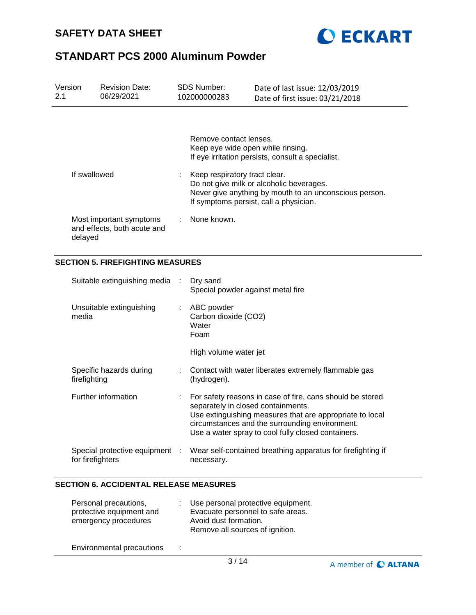



| <b>Revision Date:</b><br>Version<br>2.1<br>06/29/2021 |                  | <b>SDS Number:</b><br>102000000283                     |           | Date of last issue: 12/03/2019<br>Date of first issue: 03/21/2018                                                                                                             |                                                                                                                                                                                                                               |  |
|-------------------------------------------------------|------------------|--------------------------------------------------------|-----------|-------------------------------------------------------------------------------------------------------------------------------------------------------------------------------|-------------------------------------------------------------------------------------------------------------------------------------------------------------------------------------------------------------------------------|--|
|                                                       |                  |                                                        |           | Remove contact lenses.<br>Keep eye wide open while rinsing.                                                                                                                   | If eye irritation persists, consult a specialist.                                                                                                                                                                             |  |
|                                                       | If swallowed     |                                                        |           | Keep respiratory tract clear.<br>Do not give milk or alcoholic beverages.<br>Never give anything by mouth to an unconscious person.<br>If symptoms persist, call a physician. |                                                                                                                                                                                                                               |  |
|                                                       | delayed          | Most important symptoms<br>and effects, both acute and |           | None known.                                                                                                                                                                   |                                                                                                                                                                                                                               |  |
|                                                       |                  | <b>SECTION 5. FIREFIGHTING MEASURES</b>                |           |                                                                                                                                                                               |                                                                                                                                                                                                                               |  |
|                                                       |                  | Suitable extinguishing media                           | ÷         | Dry sand<br>Special powder against metal fire                                                                                                                                 |                                                                                                                                                                                                                               |  |
|                                                       | media            | Unsuitable extinguishing                               | ÷         | ABC powder<br>Carbon dioxide (CO2)<br>Water<br>Foam                                                                                                                           |                                                                                                                                                                                                                               |  |
|                                                       |                  |                                                        |           | High volume water jet                                                                                                                                                         |                                                                                                                                                                                                                               |  |
|                                                       | firefighting     | Specific hazards during                                |           | (hydrogen).                                                                                                                                                                   | Contact with water liberates extremely flammable gas                                                                                                                                                                          |  |
|                                                       |                  | Further information                                    |           | separately in closed containments.                                                                                                                                            | For safety reasons in case of fire, cans should be stored<br>Use extinguishing measures that are appropriate to local<br>circumstances and the surrounding environment.<br>Use a water spray to cool fully closed containers. |  |
|                                                       | for firefighters | Special protective equipment                           | $\cdot$ : | necessary.                                                                                                                                                                    | Wear self-contained breathing apparatus for firefighting if                                                                                                                                                                   |  |

## **SECTION 6. ACCIDENTAL RELEASE MEASURES**

| Personal precautions,<br>protective equipment and<br>emergency procedures                                             | Use personal protective equipment.<br>Evacuate personnel to safe areas.<br>Avoid dust formation.<br>Remove all sources of ignition. |
|-----------------------------------------------------------------------------------------------------------------------|-------------------------------------------------------------------------------------------------------------------------------------|
| ■ contract contract contract contract contract of the contract of the contract of the contract of the contract of the |                                                                                                                                     |

Environmental precautions :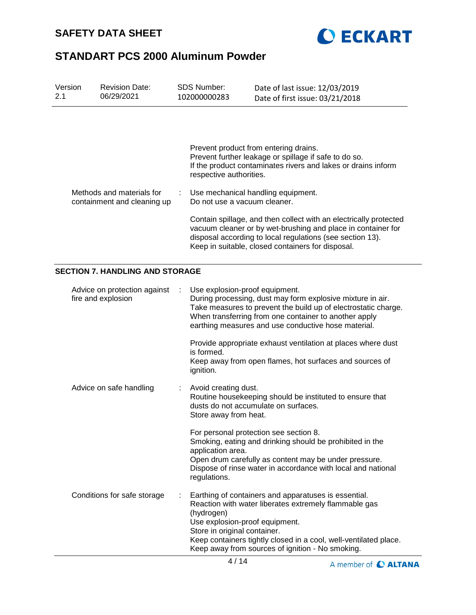



| Version<br><b>Revision Date:</b><br>2.1<br>06/29/2021 |                                                          |  | <b>SDS Number:</b><br>102000000283                                                                                                                                                                                                                                                                                    | Date of last issue: 12/03/2019<br>Date of first issue: 03/21/2018                                                                                                                                                                            |  |  |  |
|-------------------------------------------------------|----------------------------------------------------------|--|-----------------------------------------------------------------------------------------------------------------------------------------------------------------------------------------------------------------------------------------------------------------------------------------------------------------------|----------------------------------------------------------------------------------------------------------------------------------------------------------------------------------------------------------------------------------------------|--|--|--|
|                                                       |                                                          |  | respective authorities.                                                                                                                                                                                                                                                                                               | Prevent product from entering drains.<br>Prevent further leakage or spillage if safe to do so.<br>If the product contaminates rivers and lakes or drains inform                                                                              |  |  |  |
|                                                       | Methods and materials for<br>containment and cleaning up |  | Do not use a vacuum cleaner.                                                                                                                                                                                                                                                                                          | Use mechanical handling equipment.                                                                                                                                                                                                           |  |  |  |
|                                                       |                                                          |  | Contain spillage, and then collect with an electrically protected<br>vacuum cleaner or by wet-brushing and place in container for<br>disposal according to local regulations (see section 13).<br>Keep in suitable, closed containers for disposal.                                                                   |                                                                                                                                                                                                                                              |  |  |  |
|                                                       | <b>SECTION 7. HANDLING AND STORAGE</b>                   |  |                                                                                                                                                                                                                                                                                                                       |                                                                                                                                                                                                                                              |  |  |  |
|                                                       | Advice on protection against<br>fire and explosion       |  | Use explosion-proof equipment.                                                                                                                                                                                                                                                                                        | During processing, dust may form explosive mixture in air.<br>Take measures to prevent the build up of electrostatic charge.<br>When transferring from one container to another apply<br>earthing measures and use conductive hose material. |  |  |  |
|                                                       |                                                          |  | is formed.<br>ignition.                                                                                                                                                                                                                                                                                               | Provide appropriate exhaust ventilation at places where dust<br>Keep away from open flames, hot surfaces and sources of                                                                                                                      |  |  |  |
|                                                       | Advice on safe handling                                  |  | Avoid creating dust.<br>Routine housekeeping should be instituted to ensure that<br>dusts do not accumulate on surfaces.<br>Store away from heat.                                                                                                                                                                     |                                                                                                                                                                                                                                              |  |  |  |
|                                                       |                                                          |  | application area.<br>regulations.                                                                                                                                                                                                                                                                                     | For personal protection see section 8.<br>Smoking, eating and drinking should be prohibited in the<br>Open drum carefully as content may be under pressure.<br>Dispose of rinse water in accordance with local and national                  |  |  |  |
| Conditions for safe storage                           |                                                          |  | Earthing of containers and apparatuses is essential.<br>Reaction with water liberates extremely flammable gas<br>(hydrogen)<br>Use explosion-proof equipment.<br>Store in original container.<br>Keep containers tightly closed in a cool, well-ventilated place.<br>Keep away from sources of ignition - No smoking. |                                                                                                                                                                                                                                              |  |  |  |

A member of C ALTANA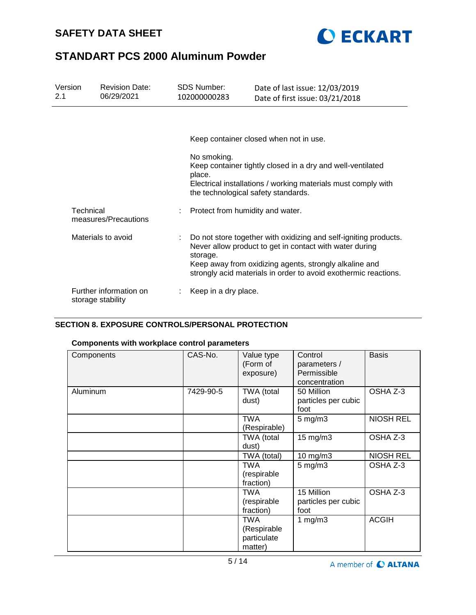



| Version<br>2.1                    | <b>Revision Date:</b><br>06/29/2021         | SDS Number:<br>102000000283 | Date of last issue: 12/03/2019<br>Date of first issue: 03/21/2018                                                                                                                                                                                        |  |  |
|-----------------------------------|---------------------------------------------|-----------------------------|----------------------------------------------------------------------------------------------------------------------------------------------------------------------------------------------------------------------------------------------------------|--|--|
|                                   |                                             |                             |                                                                                                                                                                                                                                                          |  |  |
|                                   |                                             |                             | Keep container closed when not in use.                                                                                                                                                                                                                   |  |  |
|                                   |                                             | No smoking.<br>place.       | Keep container tightly closed in a dry and well-ventilated<br>Electrical installations / working materials must comply with<br>the technological safety standards.                                                                                       |  |  |
| Technical<br>measures/Precautions |                                             |                             | Protect from humidity and water.                                                                                                                                                                                                                         |  |  |
|                                   | Materials to avoid                          | ÷<br>storage.               | Do not store together with oxidizing and self-igniting products.<br>Never allow product to get in contact with water during<br>Keep away from oxidizing agents, strongly alkaline and<br>strongly acid materials in order to avoid exothermic reactions. |  |  |
|                                   | Further information on<br>storage stability | Keep in a dry place.        |                                                                                                                                                                                                                                                          |  |  |

## **SECTION 8. EXPOSURE CONTROLS/PERSONAL PROTECTION**

## **Components with workplace control parameters**

| Components | CAS-No.   | Value type<br>(Form of<br>exposure)          | Control<br>parameters /<br>Permissible<br>concentration | <b>Basis</b>     |
|------------|-----------|----------------------------------------------|---------------------------------------------------------|------------------|
| Aluminum   | 7429-90-5 | TWA (total<br>dust)                          | 50 Million<br>particles per cubic<br>foot               | OSHA Z-3         |
|            |           | TWA<br>(Respirable)                          | $5 \text{ mg/m}$ 3                                      | <b>NIOSH REL</b> |
|            |           | TWA (total<br>dust)                          | 15 mg/m3                                                | OSHA Z-3         |
|            |           | TWA (total)                                  | 10 mg/m3                                                | <b>NIOSH REL</b> |
|            |           | TWA<br>(respirable<br>fraction)              | $5 \text{ mg/m}$ 3                                      | OSHA Z-3         |
|            |           | TWA<br>(respirable<br>fraction)              | 15 Million<br>particles per cubic<br>foot               | OSHA Z-3         |
|            |           | TWA<br>(Respirable<br>particulate<br>matter) | 1 mg/m $3$                                              | <b>ACGIH</b>     |

A member of C ALTANA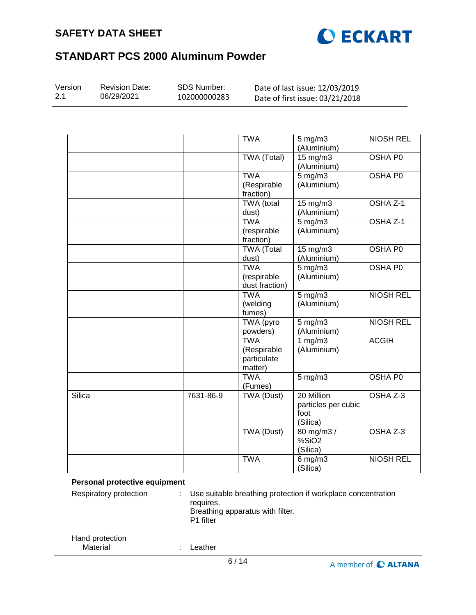



| Version<br>2.1 | <b>Revision Date:</b><br>06/29/2021 | SDS Number:<br>102000000283 | Date of last issue: 12/03/2019<br>Date of first issue: 03/21/2018 |                                                       |                     |  |
|----------------|-------------------------------------|-----------------------------|-------------------------------------------------------------------|-------------------------------------------------------|---------------------|--|
|                |                                     |                             |                                                                   |                                                       |                     |  |
|                |                                     |                             | <b>TWA</b>                                                        | $5$ mg/m $3$<br>(Aluminium)                           | <b>NIOSH REL</b>    |  |
|                |                                     |                             | <b>TWA (Total)</b>                                                | $15 \,\mathrm{mg/m}$<br>(Aluminium)                   | <b>OSHA P0</b>      |  |
|                |                                     |                             | <b>TWA</b><br>(Respirable<br>fraction)                            | $5 \,\mathrm{mg/m}$<br>(Aluminium)                    | <b>OSHA P0</b>      |  |
|                |                                     |                             | <b>TWA</b> (total<br>dust)                                        | $15$ mg/m $3$<br>(Aluminium)                          | OSHA <sub>Z-1</sub> |  |
|                |                                     |                             | <b>TWA</b><br>(respirable<br>fraction)                            | $5 \text{ mg/m}$ 3<br>(Aluminium)                     | OSHA Z-1            |  |
|                |                                     |                             | <b>TWA (Total</b><br>dust)                                        | 15 mg/m3<br>(Aluminium)                               | OSHA P0             |  |
|                |                                     |                             | <b>TWA</b><br>(respirable<br>dust fraction)                       | $5$ mg/m $3$<br>(Aluminium)                           | <b>OSHA PO</b>      |  |
|                |                                     |                             | <b>TWA</b><br>(welding<br>fumes)                                  | $5 \text{ mg/m}$<br>(Aluminium)                       | <b>NIOSH REL</b>    |  |
|                |                                     |                             | <b>TWA</b> (pyro<br>powders)                                      | $5$ mg/m $3$<br>(Aluminium)                           | <b>NIOSH REL</b>    |  |
|                |                                     |                             | <b>TWA</b><br>(Respirable<br>particulate<br>matter)               | 1 mg/m3<br>(Aluminium)                                | <b>ACGIH</b>        |  |
|                |                                     |                             | <b>TWA</b><br>(Fumes)                                             | $5 \text{ mg/m}$                                      | <b>OSHA P0</b>      |  |
| Silica         |                                     | 7631-86-9                   | <b>TWA (Dust)</b>                                                 | 20 Million<br>particles per cubic<br>foot<br>(Silica) | OSHA Z-3            |  |
|                |                                     |                             | TWA (Dust)                                                        | 80 mg/m3 /<br>%SiO <sub>2</sub><br>(Silica)           | OSHA Z-3            |  |
|                |                                     |                             | <b>TWA</b>                                                        | $6$ mg/m $3$<br>(Silica)                              | <b>NIOSH REL</b>    |  |

#### **Personal protective equipment**

| Respiratory protection      | ÷. | Use suitable breathing protection if workplace concentration<br>requires.<br>Breathing apparatus with filter.<br>P1 filter |
|-----------------------------|----|----------------------------------------------------------------------------------------------------------------------------|
| Hand protection<br>Material |    | _eather                                                                                                                    |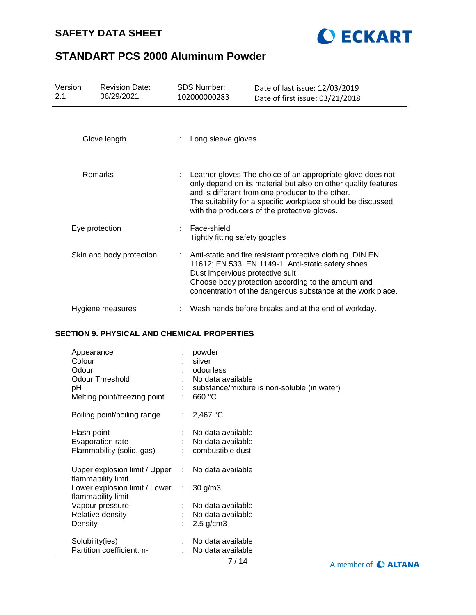# **SAFETY DATA SHEET**



# **STANDART PCS 2000 Aluminum Powder**

| Version<br>2.1 | <b>Revision Date:</b><br>06/29/2021 | SDS Number:<br>102000000283                                                                                                                                                                                                                                                                      | Date of last issue: 12/03/2019<br>Date of first issue: 03/21/2018                                                                                                                                                                      |
|----------------|-------------------------------------|--------------------------------------------------------------------------------------------------------------------------------------------------------------------------------------------------------------------------------------------------------------------------------------------------|----------------------------------------------------------------------------------------------------------------------------------------------------------------------------------------------------------------------------------------|
|                | Glove length                        | Long sleeve gloves                                                                                                                                                                                                                                                                               |                                                                                                                                                                                                                                        |
|                | Remarks                             | Leather gloves The choice of an appropriate glove does not<br>only depend on its material but also on other quality features<br>and is different from one producer to the other.<br>The suitability for a specific workplace should be discussed<br>with the producers of the protective gloves. |                                                                                                                                                                                                                                        |
|                | Eye protection                      | Face-shield<br>Tightly fitting safety goggles                                                                                                                                                                                                                                                    |                                                                                                                                                                                                                                        |
|                | Skin and body protection            | Dust impervious protective suit                                                                                                                                                                                                                                                                  | Anti-static and fire resistant protective clothing. DIN EN<br>11612; EN 533; EN 1149-1. Anti-static safety shoes.<br>Choose body protection according to the amount and<br>concentration of the dangerous substance at the work place. |
|                | Hygiene measures                    |                                                                                                                                                                                                                                                                                                  | Wash hands before breaks and at the end of workday.                                                                                                                                                                                    |

## **SECTION 9. PHYSICAL AND CHEMICAL PROPERTIES**

| Appearance<br>Colour<br>Odour<br>Odour Threshold<br>рH<br>Melting point/freezing point |    | powder<br>silver<br>odourless<br>: No data available<br>substance/mixture is non-soluble (in water)<br>660 °C |
|----------------------------------------------------------------------------------------|----|---------------------------------------------------------------------------------------------------------------|
| Boiling point/boiling range                                                            | t. | 2,467 °C                                                                                                      |
| Flash point<br><b>Evaporation rate</b><br>Flammability (solid, gas)                    |    | No data available<br>: No data available<br>combustible dust                                                  |
| Upper explosion limit / Upper : No data available<br>flammability limit                |    |                                                                                                               |
| Lower explosion limit / Lower :<br>flammability limit                                  |    | $30$ g/m $3$                                                                                                  |
| Vapour pressure                                                                        |    | : No data available                                                                                           |
| Relative density                                                                       |    | : No data available                                                                                           |
| Density                                                                                |    | $2.5$ g/cm $3$                                                                                                |
| Solubility(ies)                                                                        |    | No data available                                                                                             |
| Partition coefficient: n-                                                              |    | No data available                                                                                             |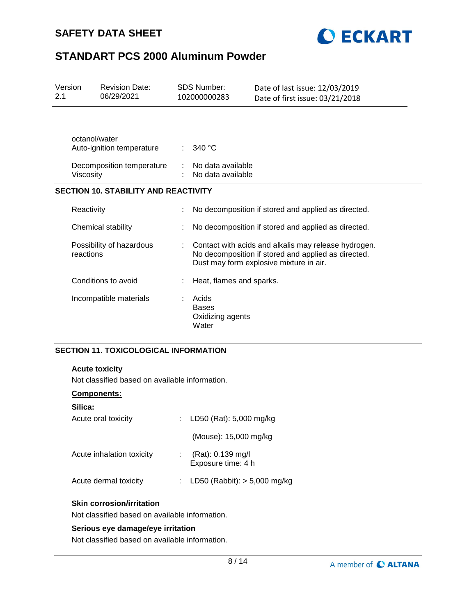



| Version<br>2.1                              |                                       | <b>Revision Date:</b><br>06/29/2021 | <b>SDS Number:</b><br>102000000283                 | Date of last issue: 12/03/2019<br>Date of first issue: 03/21/2018                                                                                      |
|---------------------------------------------|---------------------------------------|-------------------------------------|----------------------------------------------------|--------------------------------------------------------------------------------------------------------------------------------------------------------|
|                                             | octanol/water                         | Auto-ignition temperature           | 340 °C                                             |                                                                                                                                                        |
|                                             | Viscosity                             | Decomposition temperature           | No data available<br>No data available             |                                                                                                                                                        |
| <b>SECTION 10. STABILITY AND REACTIVITY</b> |                                       |                                     |                                                    |                                                                                                                                                        |
|                                             | Reactivity                            |                                     |                                                    | No decomposition if stored and applied as directed.                                                                                                    |
|                                             | Chemical stability                    |                                     |                                                    | No decomposition if stored and applied as directed.                                                                                                    |
|                                             | Possibility of hazardous<br>reactions |                                     |                                                    | Contact with acids and alkalis may release hydrogen.<br>No decomposition if stored and applied as directed.<br>Dust may form explosive mixture in air. |
|                                             |                                       | Conditions to avoid                 | Heat, flames and sparks.                           |                                                                                                                                                        |
|                                             |                                       | Incompatible materials              | Acids<br><b>Bases</b><br>Oxidizing agents<br>Water |                                                                                                                                                        |

## **SECTION 11. TOXICOLOGICAL INFORMATION**

#### **Acute toxicity**

Not classified based on available information.

#### **Components:**

| Silica:                   |                                         |
|---------------------------|-----------------------------------------|
| Acute oral toxicity       | : LD50 (Rat): $5,000$ mg/kg             |
|                           | (Mouse): 15,000 mg/kg                   |
| Acute inhalation toxicity | (Rat): 0.139 mg/l<br>Exposure time: 4 h |
| Acute dermal toxicity     | LD50 (Rabbit): $> 5,000$ mg/kg          |
|                           |                                         |

#### **Skin corrosion/irritation**

Not classified based on available information.

#### **Serious eye damage/eye irritation**

Not classified based on available information.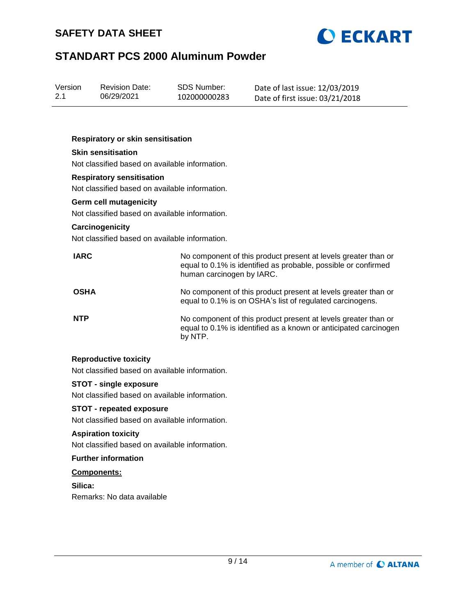



| Version | <b>Revision Date:</b> | SDS Number:  | Date of last issue: 12/03/2019  |
|---------|-----------------------|--------------|---------------------------------|
| 2.1     | 06/29/2021            | 102000000283 | Date of first issue: 03/21/2018 |

#### **Respiratory or skin sensitisation**

### **Skin sensitisation**

Not classified based on available information.

#### **Respiratory sensitisation**

Not classified based on available information.

#### **Germ cell mutagenicity**

Not classified based on available information.

#### **Carcinogenicity**

Not classified based on available information.

| <b>IARC</b> | No component of this product present at levels greater than or<br>equal to 0.1% is identified as probable, possible or confirmed<br>human carcinogen by IARC. |
|-------------|---------------------------------------------------------------------------------------------------------------------------------------------------------------|
| <b>OSHA</b> | No component of this product present at levels greater than or<br>equal to 0.1% is on OSHA's list of regulated carcinogens.                                   |
| <b>NTP</b>  | No component of this product present at levels greater than or<br>equal to 0.1% is identified as a known or anticipated carcinogen<br>by NTP.                 |

#### **Reproductive toxicity**

Not classified based on available information.

### **STOT - single exposure**

Not classified based on available information.

#### **STOT - repeated exposure**

Not classified based on available information.

### **Aspiration toxicity**

Not classified based on available information.

#### **Further information**

#### **Components:**

**Silica:** Remarks: No data available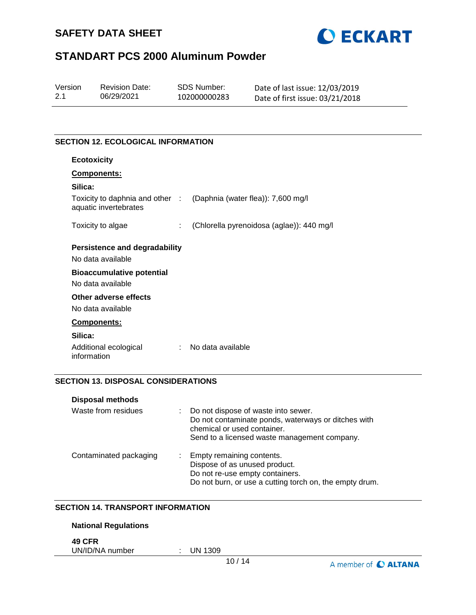



| Version | <b>Revision Date:</b> | SDS Number:  | Date of last issue: 12/03/2019  |
|---------|-----------------------|--------------|---------------------------------|
| 2.1     | 06/29/2021            | 102000000283 | Date of first issue: 03/21/2018 |

## **SECTION 12. ECOLOGICAL INFORMATION**

| <b>Ecotoxicity</b>                                       |                                           |
|----------------------------------------------------------|-------------------------------------------|
| Components:                                              |                                           |
| Silica:                                                  |                                           |
| Toxicity to daphnia and other :<br>aquatic invertebrates | (Daphnia (water flea)): 7,600 mg/l        |
| Toxicity to algae<br>÷.                                  | (Chlorella pyrenoidosa (aglae)): 440 mg/l |
| Persistence and degradability                            |                                           |
| No data available                                        |                                           |
| <b>Bioaccumulative potential</b>                         |                                           |
| No data available                                        |                                           |
| Other adverse effects                                    |                                           |
| No data available                                        |                                           |
| <b>Components:</b>                                       |                                           |
| Silica:                                                  |                                           |
| Additional ecological<br>÷<br>information                | No data available                         |

## **SECTION 13. DISPOSAL CONSIDERATIONS**

| <b>Disposal methods</b> |   |                                                                                                                                                                           |
|-------------------------|---|---------------------------------------------------------------------------------------------------------------------------------------------------------------------------|
| Waste from residues     | ÷ | Do not dispose of waste into sewer.<br>Do not contaminate ponds, waterways or ditches with<br>chemical or used container.<br>Send to a licensed waste management company. |
| Contaminated packaging  | ÷ | Empty remaining contents.<br>Dispose of as unused product.<br>Do not re-use empty containers.<br>Do not burn, or use a cutting torch on, the empty drum.                  |

#### **SECTION 14. TRANSPORT INFORMATION**

#### **National Regulations**

**49 CFR**

UN/ID/NA number : UN 1309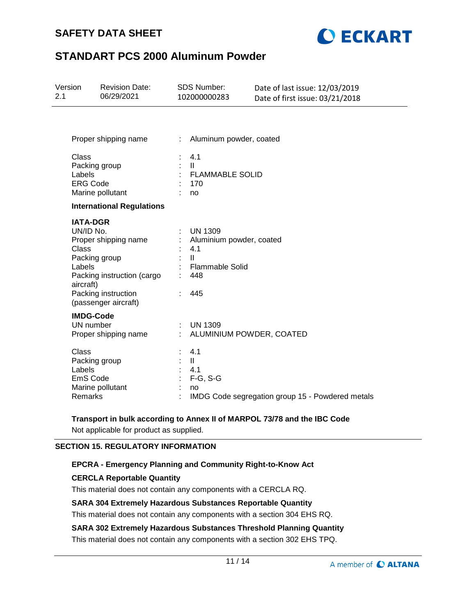## **SAFETY DATA SHEET**



# **STANDART PCS 2000 Aluminum Powder**

| Version<br>2.1 |                                                                                      | <b>Revision Date:</b><br>06/29/2021                                                               |        | SDS Number:<br>102000000283                                                                               | Date of last issue: 12/03/2019<br>Date of first issue: 03/21/2018 |
|----------------|--------------------------------------------------------------------------------------|---------------------------------------------------------------------------------------------------|--------|-----------------------------------------------------------------------------------------------------------|-------------------------------------------------------------------|
|                |                                                                                      | Proper shipping name                                                                              | t.     | Aluminum powder, coated                                                                                   |                                                                   |
|                | Class<br>Packing group<br>Labels<br><b>ERG Code</b>                                  | Marine pollutant                                                                                  |        | 4.1<br>$\mathbf{II}$<br><b>FLAMMABLE SOLID</b><br>170<br>no                                               |                                                                   |
|                |                                                                                      | <b>International Regulations</b>                                                                  |        |                                                                                                           |                                                                   |
|                | <b>IATA-DGR</b><br>UN/ID No.<br><b>Class</b><br>Packing group<br>Labels<br>aircraft) | Proper shipping name<br>Packing instruction (cargo<br>Packing instruction<br>(passenger aircraft) |        | <b>UN 1309</b><br>Aluminium powder, coated<br>4.1<br>$\mathbf{H}$<br><b>Flammable Solid</b><br>448<br>445 |                                                                   |
|                | <b>IMDG-Code</b><br>UN number                                                        | Proper shipping name                                                                              | ÷.     | <b>UN 1309</b><br>ALUMINIUM POWDER, COATED                                                                |                                                                   |
|                | <b>Class</b><br>Packing group<br>Labels<br>EmS Code<br>Remarks                       | Marine pollutant                                                                                  | ÷<br>÷ | 4.1<br>$\mathbf{II}$<br>4.1<br>$F-G, S-G$<br>no                                                           | IMDG Code segregation group 15 - Powdered metals                  |

## **Transport in bulk according to Annex II of MARPOL 73/78 and the IBC Code**

Not applicable for product as supplied.

## **SECTION 15. REGULATORY INFORMATION**

#### **EPCRA - Emergency Planning and Community Right-to-Know Act**

## **CERCLA Reportable Quantity**

This material does not contain any components with a CERCLA RQ.

#### **SARA 304 Extremely Hazardous Substances Reportable Quantity**

This material does not contain any components with a section 304 EHS RQ.

## **SARA 302 Extremely Hazardous Substances Threshold Planning Quantity**

This material does not contain any components with a section 302 EHS TPQ.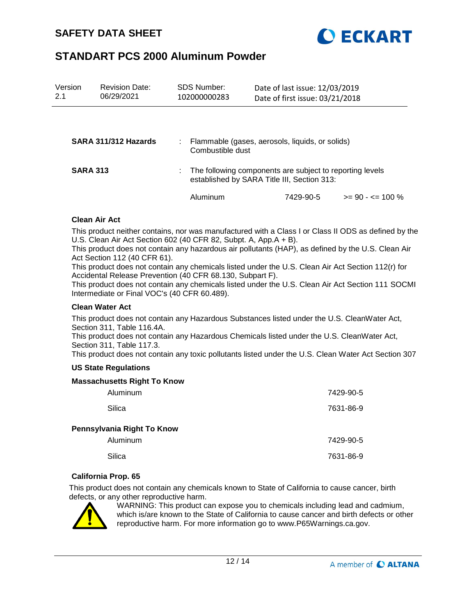

| Version<br>2.1  | <b>Revision Date:</b><br>06/29/2021 | <b>SDS Number:</b><br>102000000283 | Date of last issue: 12/03/2019<br>Date of first issue: 03/21/2018                                       |                      |
|-----------------|-------------------------------------|------------------------------------|---------------------------------------------------------------------------------------------------------|----------------------|
|                 |                                     |                                    |                                                                                                         |                      |
|                 | SARA 311/312 Hazards                | Combustible dust                   | Flammable (gases, aerosols, liquids, or solids)                                                         |                      |
| <b>SARA 313</b> |                                     |                                    | The following components are subject to reporting levels<br>established by SARA Title III, Section 313: |                      |
|                 |                                     | Aluminum                           | 7429-90-5                                                                                               | $>= 90 - 5 = 100 \%$ |

#### **Clean Air Act**

This product neither contains, nor was manufactured with a Class I or Class II ODS as defined by the U.S. Clean Air Act Section 602 (40 CFR 82, Subpt. A, App.A + B).

This product does not contain any hazardous air pollutants (HAP), as defined by the U.S. Clean Air Act Section 112 (40 CFR 61).

This product does not contain any chemicals listed under the U.S. Clean Air Act Section 112(r) for Accidental Release Prevention (40 CFR 68.130, Subpart F).

This product does not contain any chemicals listed under the U.S. Clean Air Act Section 111 SOCMI Intermediate or Final VOC's (40 CFR 60.489).

#### **Clean Water Act**

This product does not contain any Hazardous Substances listed under the U.S. CleanWater Act, Section 311, Table 116.4A.

This product does not contain any Hazardous Chemicals listed under the U.S. CleanWater Act, Section 311, Table 117.3.

This product does not contain any toxic pollutants listed under the U.S. Clean Water Act Section 307

#### **US State Regulations**

#### **Massachusetts Right To Know**

| Aluminum                   | 7429-90-5 |
|----------------------------|-----------|
| Silica                     | 7631-86-9 |
| Pennsylvania Right To Know |           |
| Aluminum                   | 7429-90-5 |
| Silica                     | 7631-86-9 |

#### **California Prop. 65**

This product does not contain any chemicals known to State of California to cause cancer, birth defects, or any other reproductive harm.



WARNING: This product can expose you to chemicals including lead and cadmium, which is/are known to the State of California to cause cancer and birth defects or other reproductive harm. For more information go to www.P65Warnings.ca.gov.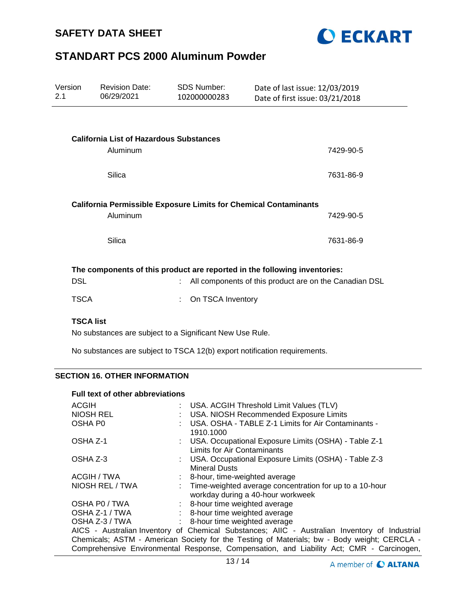



| Version<br>2.1                                                                                                                                    | <b>Revision Date:</b><br>06/29/2021            | <b>SDS Number:</b><br>102000000283 | Date of last issue: 12/03/2019<br>Date of first issue: 03/21/2018 |           |  |  |
|---------------------------------------------------------------------------------------------------------------------------------------------------|------------------------------------------------|------------------------------------|-------------------------------------------------------------------|-----------|--|--|
|                                                                                                                                                   |                                                |                                    |                                                                   |           |  |  |
|                                                                                                                                                   | <b>California List of Hazardous Substances</b> |                                    |                                                                   |           |  |  |
|                                                                                                                                                   | Aluminum                                       |                                    |                                                                   | 7429-90-5 |  |  |
|                                                                                                                                                   | Silica                                         |                                    |                                                                   | 7631-86-9 |  |  |
| <b>California Permissible Exposure Limits for Chemical Contaminants</b><br>Aluminum<br>7429-90-5                                                  |                                                |                                    |                                                                   |           |  |  |
|                                                                                                                                                   | Silica                                         |                                    |                                                                   | 7631-86-9 |  |  |
| The components of this product are reported in the following inventories:<br><b>DSL</b><br>All components of this product are on the Canadian DSL |                                                |                                    |                                                                   |           |  |  |
| <b>TSCA</b>                                                                                                                                       |                                                | On TSCA Inventory                  |                                                                   |           |  |  |
| <b>TSCA list</b>                                                                                                                                  |                                                |                                    |                                                                   |           |  |  |

No substances are subject to a Significant New Use Rule.

No substances are subject to TSCA 12(b) export notification requirements.

### **SECTION 16. OTHER INFORMATION**

#### **Full text of other abbreviations**

| <b>ACGIH</b>                                                                                |  | : USA. ACGIH Threshold Limit Values (TLV)                                                      |  |  |  |
|---------------------------------------------------------------------------------------------|--|------------------------------------------------------------------------------------------------|--|--|--|
| <b>NIOSH REL</b>                                                                            |  | : USA. NIOSH Recommended Exposure Limits                                                       |  |  |  |
| OSHA P0                                                                                     |  | USA. OSHA - TABLE Z-1 Limits for Air Contaminants -<br>1910.1000                               |  |  |  |
| OSHA Z-1                                                                                    |  | : USA. Occupational Exposure Limits (OSHA) - Table Z-1<br>Limits for Air Contaminants          |  |  |  |
| OSHA Z-3                                                                                    |  | : USA. Occupational Exposure Limits (OSHA) - Table Z-3<br><b>Mineral Dusts</b>                 |  |  |  |
| ACGIH / TWA                                                                                 |  | : 8-hour, time-weighted average                                                                |  |  |  |
| NIOSH REL / TWA                                                                             |  | : Time-weighted average concentration for up to a 10-hour<br>workday during a 40-hour workweek |  |  |  |
| OSHA P0 / TWA                                                                               |  | : 8-hour time weighted average                                                                 |  |  |  |
| OSHA Z-1 / TWA                                                                              |  | : 8-hour time weighted average                                                                 |  |  |  |
| OSHA Z-3 / TWA                                                                              |  | : 8-hour time weighted average                                                                 |  |  |  |
|                                                                                             |  | AICS - Australian Inventory of Chemical Substances; AIIC - Australian Inventory of Industrial  |  |  |  |
| Chemicals; ASTM - American Society for the Testing of Materials; bw - Body weight; CERCLA - |  |                                                                                                |  |  |  |
| Comprehensive Environmental Response, Compensation, and Liability Act; CMR - Carcinogen,    |  |                                                                                                |  |  |  |